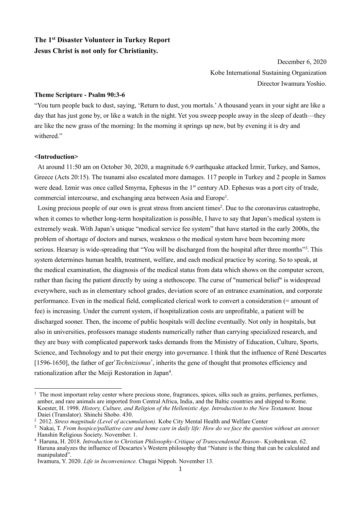# **The 1st Disaster Volunteer in Turkey Report Jesus Christ is not only for Christianity.**

December 6, 2020 Kobe International Sustaining Organization Director Iwamura Yoshio.

# **Theme Scripture - Psalm 90:3-6**

"You turn people back to dust, saying, 'Return to dust, you mortals.' A thousand years in your sight are like a day that has just gone by, or like a watch in the night. Yet you sweep people away in the sleep of death—they are like the new grass of the morning: In the morning it springs up new, but by evening it is dry and withered."

#### **<Introduction>**

At around 11:50 am on October 30, 2020, a magnitude 6.9 earthquake attacked İzmir, Turkey, and Samos, Greece (Acts 20:15). The tsunami also escalated more damages. 117 people in Turkey and 2 people in Samos were dead. Izmir was once called Smyrna, Ephesus in the 1<sup>st</sup> century AD. Ephesus was a port city of trade, commercial intercourse, and exchanging area between Asia and Europe<sup>1</sup>.

Losing precious people of our own is great stress from ancient times<sup>2</sup>. Due to the coronavirus catastrophe, when it comes to whether long-term hospitalization is possible, I have to say that Japan's medical system is extremely weak. With Japan's unique "medical service fee system" that have started in the early 2000s, the problem of shortage of doctors and nurses, weakness o the medical system have been becoming more serious. Hearsay is wide-spreading that "You will be discharged from the hospital after three months"<sup>3</sup>. This system determines human health, treatment, welfare, and each medical practice by scoring. So to speak, at the medical examination, the diagnosis of the medical status from data which shows on the computer screen, rather than facing the patient directly by using a stethoscope. The curse of "numerical belief" is widespread everywhere, such as in elementary school grades, deviation score of an entrance examination, and corporate performance. Even in the medical field, complicated clerical work to convert a consideration (= amount of fee) is increasing. Under the current system, if hospitalization costs are unprofitable, a patient will be discharged sooner. Then, the income of public hospitals will decline eventually. Not only in hospitals, but also in universities, professors manage students numerically rather than carrying specialized research, and they are busy with complicated paperwork tasks demands from the Ministry of Education, Culture, Sports, Science, and Technology and to put their energy into governance. I think that the influence of René Descartes [1596-1650], the father of ger'*Technizismus*', inherits the gene of thought that promotes efficiency and rationalization after the Meiji Restoration in Japan<sup>4</sup>.

 $<sup>1</sup>$  The most important relay center where precious stone, fragrances, spices, silks such as grains, perfumes, perfumes,</sup> amber, and rare animals are imported from Central Africa, India, and the Baltic countries and shipped to Rome. Koester, H. 1998. *History, Culture, and Religion of the Hellenistic Age. Introduction to the New Testament.* Inoue Daiei (Translator). Shinchi Shobo. 430.

<sup>&</sup>lt;sup>2</sup> 2012. *Stress magnitude (Level of accumulation)*. Kobe City Mental Health and Welfare Center

<sup>3</sup> Nakai, T. *From hospice/palliative care and home care in daily life: How do we face the question without an answer.* Hanshin Religious Society. November. 1.

<sup>4</sup> Haruna, H. 2018. *Introduction to Christian Philosophy-Critique of Transcendental Reason-*. Kyobunkwan. 62. Haruna analyzes the influence of Descartes's Western philosophy that "Nature is the thing that can be calculated and manipulated".

Iwamura, Y. 2020. *Life in Inconvenience.* Chugai Nippoh. November 13.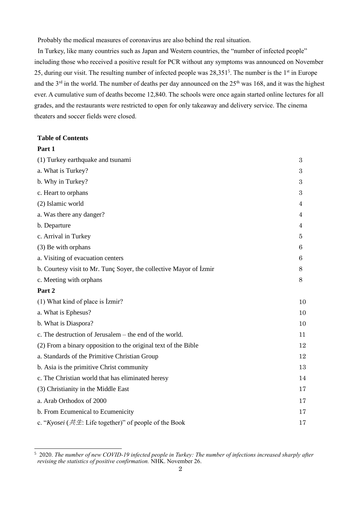Probably the medical measures of coronavirus are also behind the real situation.

In Turkey, like many countries such as Japan and Western countries, the "number of infected people" including those who received a positive result for PCR without any symptoms was announced on November 25, during our visit. The resulting number of infected people was  $28,351<sup>5</sup>$ . The number is the  $1<sup>st</sup>$  in Europe and the 3<sup>rd</sup> in the world. The number of deaths per day announced on the 25<sup>th</sup> was 168, and it was the highest ever. A cumulative sum of deaths become 12,840. The schools were once again started online lectures for all grades, and the restaurants were restricted to open for only takeaway and delivery service. The cinema theaters and soccer fields were closed.

# **Table of Contents**

**Part 1**

| (1) Turkey earthquake and tsunami                                  | 3  |
|--------------------------------------------------------------------|----|
| a. What is Turkey?                                                 | 3  |
| b. Why in Turkey?                                                  | 3  |
| c. Heart to orphans                                                | 3  |
| (2) Islamic world                                                  | 4  |
| a. Was there any danger?                                           | 4  |
| b. Departure                                                       | 4  |
| c. Arrival in Turkey                                               | 5. |
| (3) Be with orphans                                                | 6  |
| a. Visiting of evacuation centers                                  | 6  |
| b. Courtesy visit to Mr. Tunç Soyer, the collective Mayor of İzmir | 8  |
| c. Meeting with orphans                                            | 8  |
| Part 2                                                             |    |
| (1) What kind of place is İzmir?                                   | 10 |
| a. What is Ephesus?                                                | 10 |
| b. What is Diaspora?                                               | 10 |
| c. The destruction of Jerusalem – the end of the world.            | 11 |
| (2) From a binary opposition to the original text of the Bible     | 12 |
| a. Standards of the Primitive Christian Group                      | 12 |
| b. Asia is the primitive Christ community                          | 13 |
| c. The Christian world that has eliminated heresy                  | 14 |
| (3) Christianity in the Middle East                                | 17 |
| a. Arab Orthodox of 2000                                           | 17 |
| b. From Ecumenical to Ecumenicity                                  | 17 |
| c. "Kyosei ( $\# \#$ : Life together)" of people of the Book       | 17 |

<sup>5</sup> 2020. *The number of new COVID-19 infected people in Turkey: The number of infections increased sharply after revising the statistics of positive confirmation.* NHK. November 26.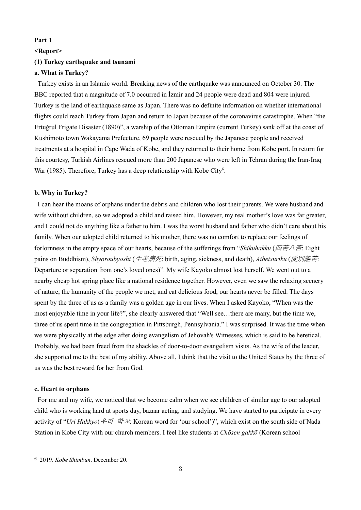## **Part 1**

#### **<Report>**

# **(1) Turkey earthquake and tsunami**

## **a. What is Turkey?**

Turkey exists in an Islamic world. Breaking news of the earthquake was announced on October 30. The BBC reported that a magnitude of 7.0 occurred in İzmir and 24 people were dead and 804 were injured. Turkey is the land of earthquake same as Japan. There was no definite information on whether international flights could reach Turkey from Japan and return to Japan because of the coronavirus catastrophe. When "the Ertuğrul Frigate Disaster (1890)", a warship of the Ottoman Empire (current Turkey) sank off at the coast of Kushimoto town Wakayama Prefecture, 69 people were rescued by the Japanese people and received treatments at a hospital in Cape Wada of Kobe, and they returned to their home from Kobe port. In return for this courtesy, Turkish Airlines rescued more than 200 Japanese who were left in Tehran during the Iran-Iraq War (1985). Therefore, Turkey has a deep relationship with Kobe City<sup>6</sup>.

#### **b. Why in Turkey?**

I can hear the moans of orphans under the debris and children who lost their parents. We were husband and wife without children, so we adopted a child and raised him. However, my real mother's love was far greater, and I could not do anything like a father to him. I was the worst husband and father who didn't care about his family. When our adopted child returned to his mother, there was no comfort to replace our feelings of forlornness in the empty space of our hearts, because of the sufferings from "*Shikuhakku* (四苦八苦: Eight) pains on Buddhism), *Shyoroubyoshi* (生老病死: birth, aging, sickness, and death), *Aibetsuriku* (愛別離苦: Departure or separation from one's loved ones)". My wife Kayoko almost lost herself. We went out to a nearby cheap hot spring place like a national residence together. However, even we saw the relaxing scenery of nature, the humanity of the people we met, and eat delicious food, our hearts never be filled. The days spent by the three of us as a family was a golden age in our lives. When I asked Kayoko, "When was the most enjoyable time in your life?", she clearly answered that "Well see…there are many, but the time we, three of us spent time in the congregation in Pittsburgh, Pennsylvania." I was surprised. It was the time when we were physically at the edge after doing evangelism of Jehovah's Witnesses, which is said to be heretical. Probably, we had been freed from the shackles of door-to-door evangelism visits. As the wife of the leader, she supported me to the best of my ability. Above all, I think that the visit to the United States by the three of us was the best reward for her from God.

### **c. Heart to orphans**

For me and my wife, we noticed that we become calm when we see children of similar age to our adopted child who is working hard at sports day, bazaar acting, and studying. We have started to participate in every activity of "*Uri Hakkyo*(우리 학교: Korean word for 'our school')", which exist on the south side of Nada Station in Kobe City with our church members. I feel like students at *Chōsen gakkō* (Korean school

<sup>6</sup> 2019. *Kobe Shimbun*. December 20.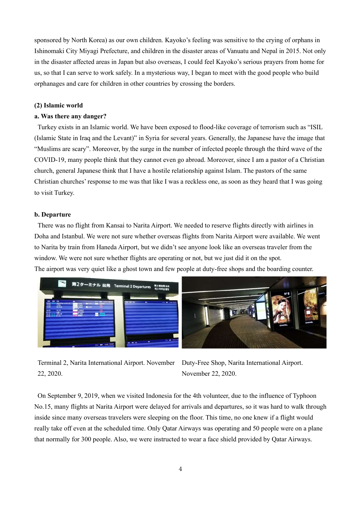sponsored by North Korea) as our own children. Kayoko's feeling was sensitive to the crying of orphans in Ishinomaki City Miyagi Prefecture, and children in the disaster areas of Vanuatu and Nepal in 2015. Not only in the disaster affected areas in Japan but also overseas, I could feel Kayoko's serious prayers from home for us, so that I can serve to work safely. In a mysterious way, I began to meet with the good people who build orphanages and care for children in other countries by crossing the borders.

#### **(2) Islamic world**

# **a. Was there any danger?**

Turkey exists in an Islamic world. We have been exposed to flood-like coverage of terrorism such as "ISIL (Islamic State in Iraq and the Levant)" in Syria for several years. Generally, the Japanese have the image that "Muslims are scary". Moreover, by the surge in the number of infected people through the third wave of the COVID-19, many people think that they cannot even go abroad. Moreover, since I am a pastor of a Christian church, general Japanese think that I have a hostile relationship against Islam. The pastors of the same Christian churches' response to me was that like I was a reckless one, as soon as they heard that I was going to visit Turkey.

#### **b. Departure**

There was no flight from Kansai to Narita Airport. We needed to reserve flights directly with airlines in Doha and Istanbul. We were not sure whether overseas flights from Narita Airport were available. We went to Narita by train from Haneda Airport, but we didn't see anyone look like an overseas traveler from the window. We were not sure whether flights are operating or not, but we just did it on the spot. The airport was very quiet like a ghost town and few people at duty-free shops and the boarding counter.



Terminal 2, Narita International Airport. November Duty-Free Shop, Narita International Airport. 22, 2020.

November 22, 2020.

On September 9, 2019, when we visited Indonesia for the 4th volunteer, due to the influence of Typhoon No.15, many flights at Narita Airport were delayed for arrivals and departures, so it was hard to walk through inside since many overseas travelers were sleeping on the floor. This time, no one knew if a flight would really take off even at the scheduled time. Only Qatar Airways was operating and 50 people were on a plane that normally for 300 people. Also, we were instructed to wear a face shield provided by Qatar Airways.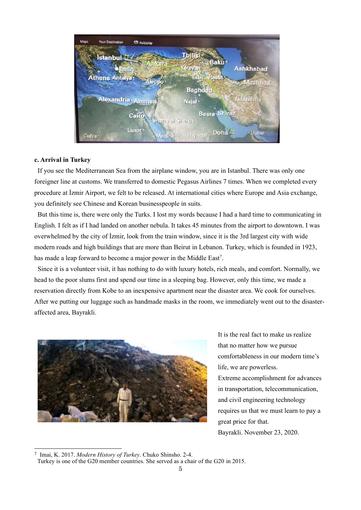| Maps<br><b>Your Destination</b><br><b>Ch</b> Autoplay |                                           |                |
|-------------------------------------------------------|-------------------------------------------|----------------|
| Istanbul D                                            | Tbilisi ·                                 |                |
| <b>Alimata</b><br>znir                                | <b>Baku</b> <sup>o</sup><br><b>erevan</b> | Ashkhabad      |
| <b>Athens Antalya:</b><br>Aleppo <sup>.</sup>         | Erbi<br><b>Rasht</b>                      | <b>Mashhad</b> |
|                                                       | <b>Baghdad</b>                            |                |
| Alexandria Amman <sup>o</sup>                         | Najaf ·                                   | <b>Isfahan</b> |
| Cairo<br>diam el-Sheikh                               | Basra Shiraz ·                            |                |
| Luxor*<br>Medina <sup>®</sup><br>Cufra ·              | Riyach . Doha &                           | Dubai          |

## **c. Arrival in Turkey**

If you see the Mediterranean Sea from the airplane window, you are in Istanbul. There was only one foreigner line at customs. We transferred to domestic Pegasus Airlines 7 times. When we completed every procedure at İzmir Airport, we felt to be released. At international cities where Europe and Asia exchange, you definitely see Chinese and Korean businesspeople in suits.

But this time is, there were only the Turks. I lost my words because I had a hard time to communicating in English. I felt as if I had landed on another nebula. It takes 45 minutes from the airport to downtown. I was overwhelmed by the city of İzmir, look from the train window, since it is the 3rd largest city with wide modern roads and high buildings that are more than Beirut in Lebanon. Turkey, which is founded in 1923, has made a leap forward to become a major power in the Middle East<sup>7</sup>.

Since it is a volunteer visit, it has nothing to do with luxury hotels, rich meals, and comfort. Normally, we head to the poor slums first and spend our time in a sleeping bag. However, only this time, we made a reservation directly from Kobe to an inexpensive apartment near the disaster area. We cook for ourselves. After we putting our luggage such as handmade masks in the room, we immediately went out to the disasteraffected area, Bayrakli.



It is the real fact to make us realize that no matter how we pursue comfortableness in our modern time's life, we are powerless. Extreme accomplishment for advances in transportation, telecommunication, and civil engineering technology requires us that we must learn to pay a great price for that. Bayrakli. November 23, 2020.

<sup>7</sup> Imai, K. 2017. *Modern History of Turkey*. Chuko Shinsho. 2-4.

Turkey is one of the G20 member countries. She served as a chair of the G20 in 2015.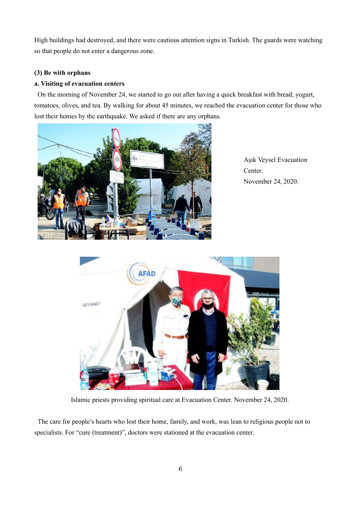High buildings had destroyed, and there were cautious attention signs in Turkish. The guards were watching so that people do not enter a dangerous zone.

# **(3) Be with orphans**

# **a. Visiting of evacuation centers**

On the morning of November 24, we started to go out after having a quick breakfast with bread, yogurt, tomatoes, olives, and tea. By walking for about 45 minutes, we reached the evacuation center for those who lost their homes by the earthquake. We asked if there are any orphans.



Aşık Veysel Evacuation Center. November 24, 2020.



Islamic priests providing spiritual care at Evacuation Center. November 24, 2020.

The care for people's hearts who lost their home, family, and work, was lean to religious people not to specialists. For "cure (treatment)", doctors were stationed at the evacuation center.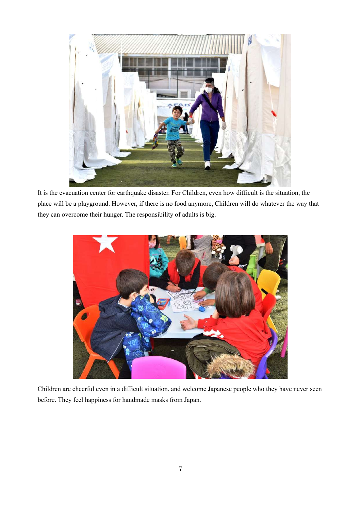

It is the evacuation center for earthquake disaster. For Children, even how difficult is the situation, the place will be a playground. However, if there is no food anymore, Children will do whatever the way that they can overcome their hunger. The responsibility of adults is big.



Children are cheerful even in a difficult situation. and welcome Japanese people who they have never seen before. They feel happiness for handmade masks from Japan.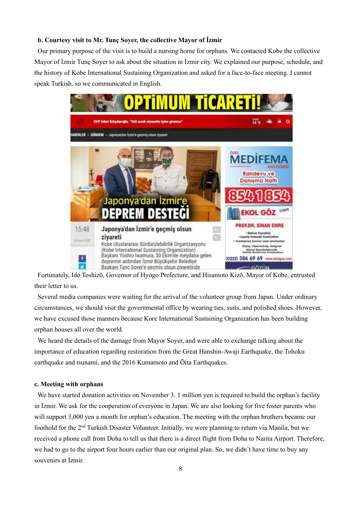# **b. Courtesy visit to Mr. Tunç Soyer, the collective Mayor of İzmir**

Our primary purpose of the visit is to build a nursing home for orphans. We contacted Kobe the collective Mayor of İzmir Tunç Soyer to ask about the situation in İzmir city. We explained our purpose, schedule, and the history of Kobe International Sustaining Organization and asked for a face-to-face meeting. I cannot speak Turkish, so we communicated in English.



Fortunately, Ido Toshizō, Governor of Hyogo Prefecture, and Hisamoto Kizō, Mayor of Kobe, entrusted their letter to us.

Several media companies were waiting for the arrival of the volunteer group from Japan. Under ordinary circumstances, we should visit the governmental office by wearing ties, suits, and polished shoes. However, we have excused those manners because Kore International Sustaining Organization has been building orphan houses all over the world.

We heard the details of the damage from Mayor Soyer, and were able to exchange talking about the importance of education regarding restoration from the Great Hanshin-Awaji Earthquake, the Tohoku earthquake and tsunami, and the 2016 Kumamoto and Ōita Earthquakes.

### **c. Meeting with orphans**

We have started donation activities on November 3. 1 million yen is required to build the orphan's facility in İzmir. We ask for the cooperation of everyone in Japan. We are also looking for five foster parents who will support 3,000 yen a month for orphan's education. The meeting with the orphan brothers became our foothold for the 2nd Turkish Disaster Volunteer. Initially, we were planning to return via Manila, but we received a phone call from Doha to tell us that there is a direct flight from Doha to Narita Airport. Therefore, we had to go to the airport four hours earlier than our original plan. So, we didn't have time to buy any souvenirs at İzmir.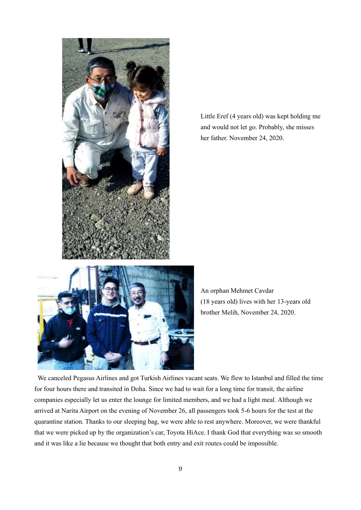

Little Eref (4 years old) was kept holding me and would not let go. Probably, she misses her father. November 24, 2020.



An orphan Mehmet Cavdar (18 years old) lives with her 13-years old brother Melih, November 24, 2020.

We canceled Pegasus Airlines and got Turkish Airlines vacant seats. We flew to Istanbul and filled the time for four hours there and transited in Doha. Since we had to wait for a long time for transit, the airline companies especially let us enter the lounge for limited members, and we had a light meal. Although we arrived at Narita Airport on the evening of November 26, all passengers took 5-6 hours for the test at the quarantine station. Thanks to our sleeping bag, we were able to rest anywhere. Moreover, we were thankful that we were picked up by the organization's car, Toyota HiAce. I thank God that everything was so smooth and it was like a lie because we thought that both entry and exit routes could be impossible.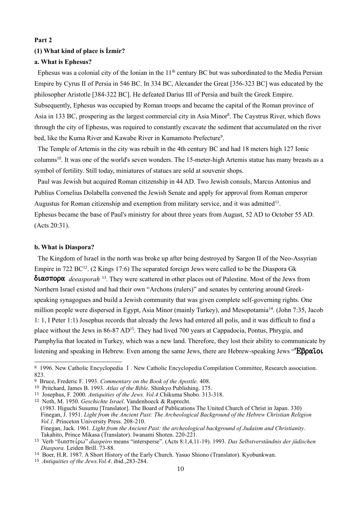# **Part 2 (1) What kind of place is İzmir?**

# **a. What is Ephesus?**

Ephesus was a colonial city of the Ionian in the  $11<sup>th</sup>$  century BC but was subordinated to the Media Persian Empire by Cyrus II of Persia in 546 BC. In 334 BC, Alexander the Great [356-323 BC] was educated by the philosopher Aristotle [384-322 BC]. He defeated Darius III of Persia and built the Greek Empire. Subsequently, Ephesus was occupied by Roman troops and became the capital of the Roman province of Asia in 133 BC, prospering as the largest commercial city in Asia Minor<sup>8</sup>. The Caystrus River, which flows through the city of Ephesus, was required to constantly excavate the sediment that accumulated on the river bed, like the Kuma River and Kawabe River in Kumamoto Prefecture<sup>9</sup>.

The Temple of Artemis in the city was rebuilt in the 4th century BC and had 18 meters high 127 Ionic columns<sup>10</sup>. It was one of the world's seven wonders. The 15-meter-high Artemis statue has many breasts as a symbol of fertility. Still today, miniatures of statues are sold at souvenir shops.

Paul was Jewish but acquired Roman citizenship in 44 AD. Two Jewish consuls, Marcus Antonius and Publius Cornelius Dolabella convened the Jewish Senate and apply for approval from Roman emperor Augustus for Roman citizenship and exemption from military service, and it was admitted<sup>11</sup>. Ephesus became the base of Paul's ministry for about three years from August, 52 AD to October 55 AD. (Acts 20:31).

#### **b. What is Diaspora?**

The Kingdom of Israel in the north was broke up after being destroyed by Sargon II of the Neo-Assyrian Empire in 722  $BC^{12}$ . (2 Kings 17:6) The separated foreign Jews were called to be the Diaspora Gk **διασπορα** *deeasporah* <sup>13</sup>. They were scattered in other places out of Palestine. Most of the Jews from Northern Israel existed and had their own "Archons (rulers)" and senates by centering around Greekspeaking synagogues and build a Jewish community that was given complete self-governing rights. One million people were dispersed in Egypt, Asia Minor (mainly Turkey), and Mesopotamia<sup>14</sup>. (John 7:35, Jacob 1: 1, I Peter 1:1) Josephus records that already the Jews had entered all polis, and it was difficult to find a place without the Jews in 86-87 AD<sup>15</sup>. They had lived 700 years at Cappadocia, Pontus, Phrygia, and Pamphylia that located in Turkey, which was a new land. Therefore, they lost their ability to communicate by listening and speaking in Hebrew. Even among the same Jews, there are Hebrew-speaking Jews " $E\beta\rho\alpha\iota o\iota$ 

<sup>12</sup> Noth, M. 1950. *Geschichte Israel*. Vandenhoeck & Ruprecht. (1983. Higuchi Susumu [Translator]. The Board of Publications The United Church of Christ in Japan. 330) Finegan, J. 1951. *Light from the Ancient Past: The Archeological Background of the Hebrew Christian Religion Vol.1.* Princeton University Press. 208-210. Finegan, Jack. 1961. *Light from the Ancient Past: the archeological background of Judaism and Christianity*. Takahito, Prince Mikasa (Translator). Iwanami Shoten. 220-221.

<sup>8</sup> 1996. New Catholic Encyclopedia Ⅰ. New Catholic Encyclopedia Compilation Committee, Research association. 823.

<sup>9</sup> Bruce, Frederic F. 1993. *Commentary on the Book of the Apostle.* 408.

<sup>10</sup> Pritchard, James B. 1993. *Atlas of the Bible.* Shinkyo Publishing. 175.

<sup>11</sup> Josephus, F. 2000. *Antiquities of the Jews. Vol.4.*Chikuma Shobo. 313-318.

<sup>&</sup>lt;sup>13</sup> Verb "διασπείρω" *diaspeiro* means "intersperse". (Acts 8:1,4,11-19). 1993. *Das Selbstverständnis der jüdischen Diaspora.* Leiden Brill. 73-88.

<sup>14</sup> Boer, H.R. 1987. A Short History of the Early Church. Yasuo Shiono (Translator). Kyobunkwan.

<sup>15</sup> *Antiquities of the Jews.Vol.4*. ibid.,283-284.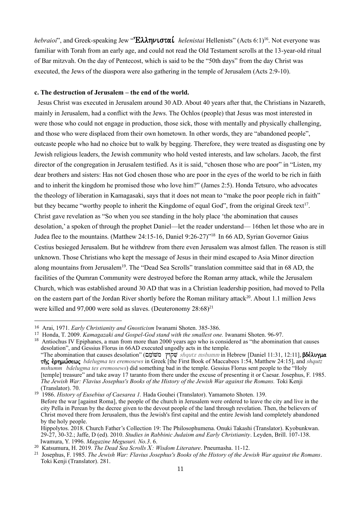*hebraioi*", and Greek-speaking Jew "**Eλληνισταί** *helenistai* Hellenists" (Acts 6:1)<sup>16</sup>. Not everyone was familiar with Torah from an early age, and could not read the Old Testament scrolls at the 13-year-old ritual of Bar mitzvah. On the day of Pentecost, which is said to be the "50th days" from the day Christ was executed, the Jews of the diaspora were also gathering in the temple of Jerusalem (Acts 2:9-10).

### **c. The destruction of Jerusalem – the end of the world.**

Jesus Christ was executed in Jerusalem around 30 AD. About 40 years after that, the Christians in Nazareth, mainly in Jerusalem, had a conflict with the Jews. The Ochlos (people) that Jesus was most interested in were those who could not engage in production, those sick, those with mentally and physically challenging, and those who were displaced from their own hometown. In other words, they are "abandoned people", outcaste people who had no choice but to walk by begging. Therefore, they were treated as disgusting one by Jewish religious leaders, the Jewish community who hold vested interests, and law scholars. Jacob, the first director of the congregation in Jerusalem testified. As it is said, "chosen those who are poor" in "Listen, my dear brothers and sisters: Has not God chosen those who are poor in the eyes of the world to be rich in faith and to inherit the kingdom he promised those who love him?" (James 2:5). Honda Tetsuro, who advocates the theology of liberation in Kamagasaki, says that it does not mean to "make the poor people rich in faith" but they became "worthy people to inherit the Kingdome of equal God", from the original Greek text<sup>17</sup>. Christ gave revelation as "So when you see standing in the holy place 'the abomination that causes desolation,' a spoken of through the prophet Daniel—let the reader understand— 16then let those who are in Judea flee to the mountains. (Matthew 24:15-16, Daniel 9:26-27)"<sup>18</sup> In 66 AD, Syrian Governor Gaius Cestius besieged Jerusalem. But he withdrew from there even Jerusalem was almost fallen. The reason is still unknown. Those Christians who kept the message of Jesus in their mind escaped to Asia Minor direction along mountains from Jerusalem<sup>19</sup>. The "Dead Sea Scrolls" translation committee said that in 68 AD, the facilities of the Qumran Community were destroyed before the Roman army attack, while the Jerusalem Church, which was established around 30 AD that was in a Christian leadership position, had moved to Pella on the eastern part of the Jordan River shortly before the Roman military attack<sup>20</sup>. About 1.1 million Jews were killed and 97,000 were sold as slaves. (Deuteronomy  $28:68$ )<sup>21</sup>

<sup>18</sup> Antiochus IV Epiphanes, a man from more than 2000 years ago who is considered as "the abomination that causes" desolation", and Gessius Florus in 66AD executed ungodly acts in the temple. "The abomination that causes desolation" (שְׁקוֹץ "שְׁקוֹץ "shqutz mshumm in Hebrew [Daniel 11:31, 12:11], βδέλυγμα th/j evrhmw,sewj *bdelugma tes eremosews* in Greek [the First Book of Maccabees 1:54, Matthew 24:15], and *shqutz mshumm bdelugma tes eremosews*) did something bad in the temple. Gessius Florus sent people to the "Holy [temple] treasure" and take away 17 taranto from there under the excuse of presenting it or Caesar. Josephus, F. 1985. *The Jewish War: Flavius Josephus's Books of the History of the Jewish War against the Romans.* Toki Kenji (Translator). 70.

<sup>19</sup> 1986. *History of Eusebius of Caesarea 1.* Hada Gouhei (Translator). Yamamoto Shoten. 139. Before the war [against Roma], the people of the church in Jerusalem were ordered to leave the city and live in the city Pella in Perean by the decree given to the devout people of the land through revelation. Then, the believers of Christ moved there from Jerusalem, thus the Jewish's first capital and the entire Jewish land completely abandoned by the holy people. Hippolytos. 2018. Church Father's Collection 19: The Philosophumena. Onuki Takashi (Translator). Kyobunkwan.

<sup>16</sup> Arai, 1971. *Early Christianity and Gnosticism* Iwanami Shoten. 385-386.

<sup>17</sup> Honda, T. 2009. *Kamagazaki and Gospel-God stand with the smallest one.* Iwanami Shoten. 96-97.

<sup>29-27, 30-32.;</sup> Jaffe, D (ed). 2010. *Studies in Rabbinic Judaism and Early Christianity*. Leyden, Brill. 107-138. Iwamura, Y. 1996. *Magazine Megusuri. No.3*. 6.

<sup>20</sup> Katsumura, H. 2019. *The Dead Sea Scrolls*Ⅹ*: Wisdom Literature*. Pneumasha. 11-12.

<sup>21</sup> Josephus, F. 1985. *The Jewish War: Flavius Josephus's Books of the History of the Jewish War against the Romans*. Toki Kenji (Translator). 281.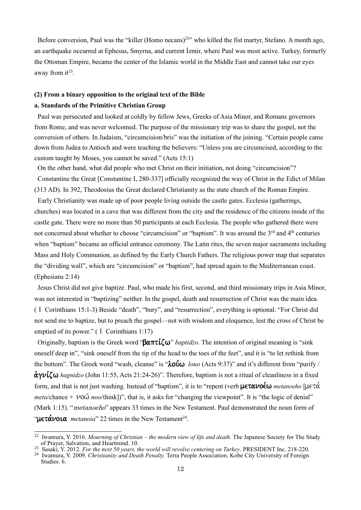Before conversion, Paul was the "killer (Homo necans)<sup>22</sup>" who killed the fist martyr, Stefano. A month ago, an earthquake occurred at Ephesus, Smyrna, and current İzmir, where Paul was most active. Turkey, formerly the Ottoman Empire, became the center of the Islamic world in the Middle East and cannot take our eyes away from  $it^{23}$ .

# **(2) From a binary opposition to the original text of the Bible a. Standards of the Primitive Christian Group**

Paul was persecuted and looked at coldly by fellow Jews, Greeks of Asia Minor, and Romans governors from Rome, and was never welcomed. The purpose of the missionary trip was to share the gospel, not the conversion of others. In Judaism, "circumcision/bris" was the initiation of the joining. "Certain people came down from Judea to Antioch and were teaching the believers: "Unless you are circumcised, according to the custom taught by Moses, you cannot be saved." (Acts 15:1)

On the other hand, what did people who met Christ on their initiation, not doing "circumcision"? Constantine the Great [Constantine I, 280-337] officially recognized the way of Christ in the Edict of Milan (313 AD). In 392, Theodosius the Great declared Christianity as the state church of the Roman Empire.

Early Christianity was made up of poor people living outside the castle gates. Ecclesia (gatherings, churches) was located in a cave that was different from the city and the residence of the citizens inside of the castle gate. There were no more than 50 participants at each Ecclesia. The people who gathered there were not concerned about whether to choose "circumcision" or "baptism". It was around the 3<sup>rd</sup> and 4<sup>th</sup> centuries when "baptism" became an official entrance ceremony. The Latin rites, the seven major sacraments including Mass and Holy Communion, as defined by the Early Church Fathers. The religious power map that separates the "dividing wall", which are "circumcision" or "baptism", had spread again to the Mediterranean coast. (Ephesians 2:14)

Jesus Christ did not give baptize. Paul, who made his first, second, and third missionary trips in Asia Minor, was not interested in "baptizing" neither. In the gospel, death and resurrection of Christ was the main idea. (Ⅰ Corinthians 15:1-3) Beside "death", "bury", and "resurrection", everything is optional. "For Christ did not send me to baptize, but to preach the gospel—not with wisdom and eloquence, lest the cross of Christ be emptied of its power." (I Corinthians 1:17)

Originally, baptism is the Greek word " $\beta \alpha \pi \tau \mathcal{L}(\omega)$ " *baptidzo*. The intention of original meaning is "sink" oneself deep in", "sink oneself from the tip of the head to the toes of the feet", and it is "to let rethink from the bottom". The Greek word "wash, cleanse" is " $\lambda o \hat{v} \omega$  *louo* (Acts 9:37)" and it's different from "purify /  $\alpha$  $\nu$ <sup> $\alpha$ </sup> $\alpha$  *hagnidzo* (John 11:55, Acts 21:24-26)". Therefore, baptism is not a ritual of cleanliness in a fixed form, and that is not just washing. Instead of "baptism", it is to "repent (verb  $\text{UET}\alpha\nu$ ) metanoeho [ $\text{UET}\alpha$ *meta*/chance +  $\nu$ 0 $\hat{\omega}$  *noo*/think])", that is, it asks for "changing the viewpoint". It is "the logic of denial" (Mark 1:15). "*metanoeho*" appears 33 times in the New Testament. Paul demonstrated the noun form of " $\mu \in \alpha \sim \alpha$  *metanoia*" 22 times in the New Testament<sup>24</sup>.

<sup>22</sup> Iwamura, Y. 2016. *Mourning of Christian – the modern view of life and death.* The Japanese Society for The Study of Prayer, Salvation, and Heartmind. 10.

<sup>23</sup> Sasaki, Y. 2012. *For the next 50 years, the world will revolve centering on Turkey*. PRESIDENT Inc. 218-220.

<sup>24</sup> Iwamura, Y. 2009. *Christianity and Death Penalty.* Terra People Association. Kobe City University of Foreign Studies. 6.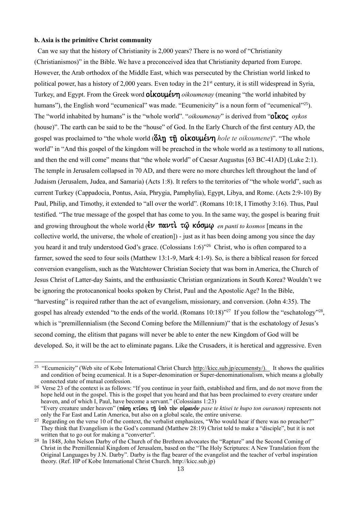# **b. Asia is the primitive Christ community**

Can we say that the history of Christianity is 2,000 years? There is no word of "Christianity (Christianismos)" in the Bible. We have a preconceived idea that Christianity departed from Europe. However, the Arab orthodox of the Middle East, which was persecuted by the Christian world linked to political power, has a history of 2,000 years. Even today in the 21<sup>st</sup> century, it is still widespread in Syria, Turkey, and Egypt. From the Greek word *Other Coupled Transh Commenay* (meaning "the world inhabited by humans"), the English word "ecumenical" was made. "Ecumenicity" is a noun form of "ecumenical"<sup>25</sup>). The "world inhabited by humans" is the "whole world". "*oikoumenay*" is derived from "**O** $\alpha$  *oykos* (house)". The earth can be said to be the "house" of God. In the Early Church of the first century AD, the gospel was proclaimed to "the whole world  $(\delta\lambda n \tau\hat{n})$  **oikoule**  $\nu$  *hole te oikoumene*)". "The whole world" in "And this gospel of the kingdom will be preached in the whole world as a testimony to all nations, and then the end will come" means that "the whole world" of Caesar Augustus [63 BC-41AD] (Luke 2:1). The temple in Jerusalem collapsed in 70 AD, and there were no more churches left throughout the land of Judaism (Jerusalem, Judea, and Samaria) (Acts 1:8). It refers to the territories of "the whole world", such as current Turkey (Cappadocia, Pontus, Asia, Phrygia, Pamphylia), Egypt, Libya, and Rome. (Acts 2:9-10) By Paul, Philip, and Timothy, it extended to "all over the world". (Romans 10:18, I Timothy 3:16). Thus, Paul testified. "The true message of the gospel that has come to you. In the same way, the gospel is bearing fruit and growing throughout the whole world  $\left(\frac{2V}{\mu}\right)$   $\pi\mu\nu\tau\mathbf{l}$   $\tau\hat{\omega}$   $\kappa\acute{o}\sigma\mu\omega$  *en panti to kosmos* [means in the collective world, the universe, the whole of creation]) - just as it has been doing among you since the day you heard it and truly understood God's grace. (Colossians 1:6)" <sup>26</sup> Christ, who is often compared to a farmer, sowed the seed to four soils (Matthew 13:1-9, Mark 4:1-9). So, is there a biblical reason for forced conversion evangelism, such as the Watchtower Christian Society that was born in America, the Church of Jesus Christ of Latter-day Saints, and the enthusiastic Christian organizations in South Korea? Wouldn't we be ignoring the protocanonical books spoken by Christ, Paul and the Apostolic Age? In the Bible, "harvesting" is required rather than the act of evangelism, missionary, and conversion. (John 4:35). The gospel has already extended "to the ends of the world. (Romans 10:18)"<sup>27</sup> If you follow the "eschatology"<sup>28</sup>, which is "premillennialism (the Second Coming before the Millennium)" that is the eschatology of Jesus's second coming, the elitism that pagans will never be able to enter the new Kingdom of God will be developed. So, it will be the act to eliminate pagans. Like the Crusaders, it is heretical and aggressive. Even

<sup>&</sup>lt;sup>25</sup> "Ecumenicity" (Web site of Kobe International Christ Church [http://kicc.sub.jp/ecumensty/\)](about:blank). It shows the qualities and condition of being ecumenical. It is a Super-denomination or Super-denominationalism, which means a globally connected state of mutual confession.

<sup>26</sup> Verse 23 of the context is as follows: "If you continue in your faith, established and firm, and do not move from the hope held out in the gospel. This is the gospel that you heard and that has been proclaimed to every creature under heaven, and of which I, Paul, have become a servant." (Colossians 1:23) "Every creature under heaven" (πάση κτίσει τῆ ὑπὸ τὸν οὐρανόν *pase te ktisei te hupo ton ouranon)* represents not

only the Far East and Latin America, but also on a global scale, the entire universe. <sup>27</sup> Regarding on the verse 10 of the context, the verbalist emphasizes, "Who would hear if there was no preacher?" They think that Evangelism is the God's command (Matthew 28:19) Christ told to make a "disciple", but it is not written that to go out for making a "converter".

<sup>28</sup> In 1848, John Nelson Darby of the Church of the Brethren advocates the "Rapture" and the Second Coming of Christ in the Premillennial Kingdom of Jerusalem, based on the "The Holy Scriptures: A New Translation from the Original Languages by J.N. Darby". Darby is the flag bearer of the evangelist and the teacher of verbal inspiration theory. (Ref. HP of Kobe International Christ Church. http://kicc.sub.jp)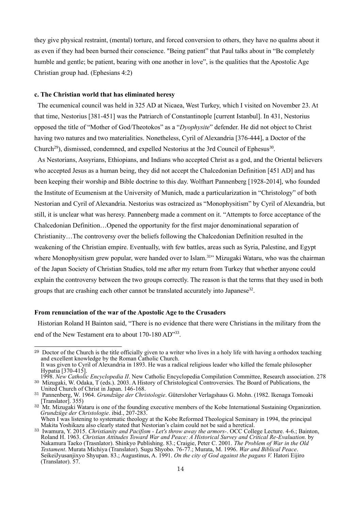they give physical restraint, (mental) torture, and forced conversion to others, they have no qualms about it as even if they had been burned their conscience. "Being patient" that Paul talks about in "Be completely humble and gentle; be patient, bearing with one another in love", is the qualities that the Apostolic Age Christian group had. (Ephesians 4:2)

#### **c. The Christian world that has eliminated heresy**

The ecumenical council was held in 325 AD at Nicaea, West Turkey, which I visited on November 23. At that time, Nestorius [381-451] was the Patriarch of Constantinople [current Istanbul]. In 431, Nestorius opposed the title of "Mother of God/Theotokos" as a "*Dyophysite*" defender. He did not object to Christ having two natures and two materialities. Nonetheless, Cyril of Alexandria [376-444], a Doctor of the Church<sup>29</sup>), dismissed, condemned, and expelled Nestorius at the 3rd Council of Ephesus<sup>30</sup>.

As Nestorians, Assyrians, Ethiopians, and Indians who accepted Christ as a god, and the Oriental believers who accepted Jesus as a human being, they did not accept the Chalcedonian Definition [451 AD] and has been keeping their worship and Bible doctrine to this day. Wolfhart Pannenberg [1928-2014], who founded the Institute of Ecumenism at the University of Munich, made a particularization in "Christology" of both Nestorian and Cyril of Alexandria. Nestorius was ostracized as "Monophysitism" by Cyril of Alexandria, but still, it is unclear what was heresy. Pannenberg made a comment on it. "Attempts to force acceptance of the Chalcedonian Definition…Opened the opportunity for the first major denominational separation of Christianity…The controversy over the beliefs following the Chalcedonian Definition resulted in the weakening of the Christian empire. Eventually, with few battles, areas such as Syria, Palestine, and Egypt where Monophysitism grew popular, were handed over to Islam.<sup>31"</sup> Mizugaki Wataru, who was the chairman of the Japan Society of Christian Studies, told me after my return from Turkey that whether anyone could explain the controversy between the two groups correctly. The reason is that the terms that they used in both groups that are crashing each other cannot be translated accurately into Japanese<sup>32</sup>.

#### **From renunciation of the war of the Apostolic Age to the Crusaders**

Historian Roland H Bainton said, "There is no evidence that there were Christians in the military from the end of the New Testament era to about 170-180 AD"33.

<sup>&</sup>lt;sup>29</sup> Doctor of the Church is the title officially given to a writer who lives in a holy life with having a orthodox teaching and excellent knowledge by the Roman Catholic Church. It was given to Cyril of Alexandria in 1893. He was a radical religious leader who killed the female philosopher Hypatia [370-415].

<sup>1998.</sup> *New Catholic Encyclopedia II*. New Catholic Encyclopedia Compilation Committee, Research association. 278 <sup>30</sup> Mizugaki, W. Odaka, T (eds.). 2003. A History of Christological Controversies. The Board of Publications, the United Church of Christ in Japan. 146-168.

<sup>31</sup> Pannenberg, W. 1964. *Grundzüge der Christologie*. Gütersloher Verlagshaus G. Mohn. (1982. Ikenaga Tomoaki [Translator]. 355)

<sup>&</sup>lt;sup>32</sup> Mr. Mizugaki Wataru is one of the founding executive members of the Kobe International Sustaining Organization. *Grundzüge der Christologie*. ibid., 207-283.

When I was listening to systematic theology at the Kobe Reformed Theological Seminary in 1994, the principal Makita Yoshikazu also clearly stated that Nestorian's claim could not be said a heretical.

<sup>33</sup> Iwamura, Y. 2015. *Christianity and Pacifism - Let's throw away the armors-*. OCC College Lecture. 4-6.; Bainton, Roland H. 1963. *Christian Attitudes Toward War and Peace: A Historical Survey and Critical Re-Evaluation.* by Nakamura Taeko (Trasnlator). Shinkyo Publishing. 83.; Craigie, Peter C. 2001. *The Problem of War in the Old Testament*. Murata Michiya (Translator). Sugu Shyobo. 76-77.; Murata, M. 1996. *War and Biblical Peace*. SeikeiJyusanjixyo Shyupan. 83.; Augustinus, A. 1991. *On the city of God against the pagans V.* Hatori Eijiro (Translator). 57.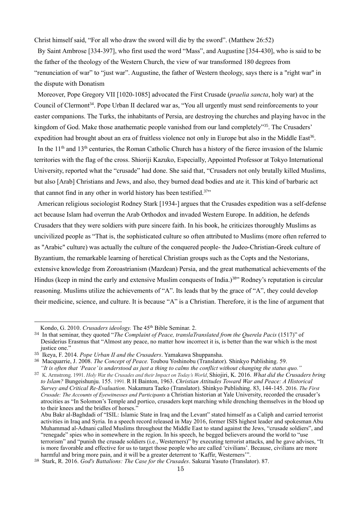Christ himself said, "For all who draw the sword will die by the sword". (Matthew 26:52)

By Saint Ambrose [334-397], who first used the word "Mass", and Augustine [354-430], who is said to be the father of the theology of the Western Church, the view of war transformed 180 degrees from "renunciation of war" to "just war". Augustine, the father of Western theology, says there is a "right war" in the dispute with Donatism

Moreover, Pope Gregory VII [1020-1085] advocated the First Crusade (*praelia sancta*, holy war) at the Council of Clermont<sup>34</sup>. Pope Urban II declared war as, "You all urgently must send reinforcements to your easter companions. The Turks, the inhabitants of Persia, are destroying the churches and playing havoc in the kingdom of God. Make those anathematic people vanished from our land completely"<sup>35</sup>. The Crusaders' expedition had brought about an era of fruitless violence not only in Europe but also in the Middle East<sup>36</sup>.

In the 11<sup>th</sup> and 13<sup>th</sup> centuries, the Roman Catholic Church has a history of the fierce invasion of the Islamic territories with the flag of the cross. Shioriji Kazuko, Especially, Appointed Professor at Tokyo International University, reported what the "crusade" had done. She said that, "Crusaders not only brutally killed Muslims, but also [Arab] Christians and Jews, and also, they burned dead bodies and ate it. This kind of barbaric act that cannot find in any other in world history has been testified.<sup>37</sup>"

American religious sociologist Rodney Stark [1934-] argues that the Crusades expedition was a self-defense act because Islam had overrun the Arab Orthodox and invaded Western Europe. In addition, he defends Crusaders that they were soldiers with pure sincere faith. In his book, he criticizes thoroughly Muslims as uncivilized people as "That is, the sophisticated culture so often attributed to Muslims (more often referred to as "Arabic" culture) was actually the culture of the conquered people- the Judeo-Christian-Greek culture of Byzantium, the remarkable learning of heretical Christian groups such as the Copts and the Nestorians, extensive knowledge from Zoroastrianism (Mazdean) Persia, and the great mathematical achievements of the Hindus (keep in mind the early and extensive Muslim conquests of India.)<sup>38</sup>" Rodney's reputation is circular reasoning. Muslims utilize the achievements of "A". Its leads that by the grace of "A", they could develop their medicine, science, and culture. It is because "A" is a Christian. Therefore, it is the line of argument that

Kondo, G. 2010. *Crusaders ideology*. The 45<sup>th</sup> Bible Seminar. 2.

<sup>34</sup> In that seminar, they quoted "*The Complaint of Peace, translaTranslated from the Querela Pacis* (1517)" of Desiderius Erasmus that "Almost any peace, no matter how incorrect it is, is better than the war which is the most justice one."

<sup>35</sup> Ikeya, F. 2014. *Pope Urban II and the Crusaders*. Yamakawa Shuppansha.

<sup>36</sup> Macquarrie, J. 2008. *The Concept of Peace.* Toubou Yoshinobu (Translator). Shinkyo Publishing. 59. *"It is often that 'Peace' is understood as just a thing to calms the conflict without changing the status quo."*

<sup>37</sup> K. Armstrong. 1991. *Holy Wa*r *the Crusades and their Impact on Today's World*, Shiojiri, K. 2016. *What did the Crusaders bring to Islam?* Bungeishunju. 155. 1991. R H Bainton, 1963. *Christian Attitudes Toward War and Peace: A Historical Survey and Critical Re-Evaluation.* Nakamura Taeko (Translator). Shinkyo Publishing. 83, 144-145. 2016. *The First Crusade: The Accounts of Eyewitnesses and Participants* a Christian historian at Yale University, recorded the crusader's atrocities as "In Solomon's Temple and portico, crusaders kept marching while drenching themselves in the blood up to their knees and the bridles of horses."

Abu Bakr al-Baghdadi of "ISIL: Islamic State in Iraq and the Levant" stated himself as a Caliph and carried terrorist activities in Iraq and Syria. In a speech record released in May 2016, former ISIS highest leader and spokesman Abu Muhammad al-Adnani called Muslims throughout the Middle East to stand against the Jews, "crusade soldiers", and "renegade" spies who in somewhere in the region. In his speech, he begged believers around the world to "use terrorism" and "punish the crusade soldiers (i.e., Westerners)" by executing terrorist attacks, and he gave advises, "It is more favorable and effective for us to target those people who are called 'civilians'. Because, civilians are more harmful and bring more pain, and it will be a greater deterrent to 'Kaffir, Westerners'".

<sup>38</sup> Stark, R. 2016. *God's Battalions: The Case for the Crusades*. Sakurai Yasuto (Translator). 87.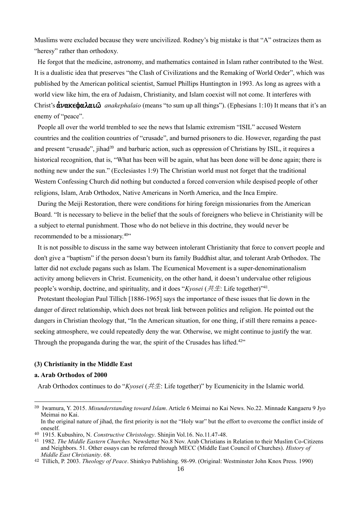Muslims were excluded because they were uncivilized. Rodney's big mistake is that "A" ostracizes them as "heresy" rather than orthodoxy.

He forgot that the medicine, astronomy, and mathematics contained in Islam rather contributed to the West. It is a dualistic idea that preserves "the Clash of Civilizations and the Remaking of World Order", which was published by the American political scientist, Samuel Phillips Huntington in 1993. As long as agrees with a world view like him, the era of Judaism, Christianity, and Islam coexist will not come. It interferes with Christ's  $\alpha \nu \alpha \kappa \epsilon \phi \alpha \lambda \alpha \mu \omega$  *anakephalaio* (means "to sum up all things"). (Ephesians 1:10) It means that it's an enemy of "peace".

People all over the world trembled to see the news that Islamic extremism "ISIL" accused Western countries and the coalition countries of "crusade", and burned prisoners to die. However, regarding the past and present "crusade", jihad<sup>39</sup> and barbaric action, such as oppression of Christians by ISIL, it requires a historical recognition, that is, "What has been will be again, what has been done will be done again; there is nothing new under the sun." (Ecclesiastes 1:9) The Christian world must not forget that the traditional Western Confessing Church did nothing but conducted a forced conversion while despised people of other religions, Islam, Arab Orthodox, Native Americans in North America, and the Inca Empire.

During the Meiji Restoration, there were conditions for hiring foreign missionaries from the American Board. "It is necessary to believe in the belief that the souls of foreigners who believe in Christianity will be a subject to eternal punishment. Those who do not believe in this doctrine, they would never be recommended to be a missionary.<sup>40</sup>"

It is not possible to discuss in the same way between intolerant Christianity that force to convert people and don't give a "baptism" if the person doesn't burn its family Buddhist altar, and tolerant Arab Orthodox. The latter did not exclude pagans such as Islam. The Ecumenical Movement is a super-denominationalism activity among believers in Christ. Ecumenicity, on the other hand, it doesn't undervalue other religious people's worship, doctrine, and spirituality, and it does "*Kyosei* ( $\# \#$ : Life together)"<sup>41</sup>.

Protestant theologian Paul Tillich [1886-1965] says the importance of these issues that lie down in the danger of direct relationship, which does not break link between politics and religion. He pointed out the dangers in Christian theology that, "In the American situation, for one thing, if still there remains a peaceseeking atmosphere, we could repeatedly deny the war. Otherwise, we might continue to justify the war. Through the propaganda during the war, the spirit of the Crusades has lifted.<sup>42"</sup>

# **(3) Christianity in the Middle East**

## **a. Arab Orthodox of 2000**

Arab Orthodox continues to do "*Kyosei* (共生: Life together)" by Ecumenicity in the Islamic world.

<sup>39</sup> Iwamura, Y. 2015. *Misunderstanding toward Islam*. Article 6 Meimai no Kai News. No.22. Minnade Kangaeru 9 Jyo Meimai no Kai.

In the original nature of jihad, the first priority is not the "Holy war" but the effort to overcome the conflict inside of oneself.

<sup>40</sup> 1915. Kubushiro, N. *Constructive Christology*. Shinjin Vol.16. No.11.47-48.

<sup>41</sup> 1982. *The Middle Eastern Churches.* Newsletter No.8 Nov. Arab Christians in Relation to their Muslim Co-Citizens and Neighbors. 51. Other essays can be referred through MECC (Middle East Council of Churches). *History of Middle East Christianity*. 68.

<sup>42</sup> Tillich, P. 2003. *Theology of Peace*. Shinkyo Publishing. 98-99. (Original: Westminster John Knox Press. 1990)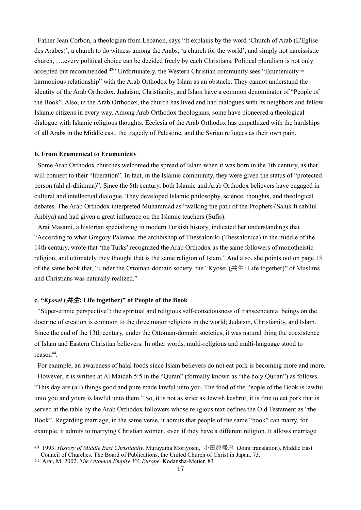Father Jean Corbon, a theologian from Lebanon, says "It explains by the word 'Church of Arab (L'Eglise des Arabes)', a church to do witness among the Arabs, 'a church for the world', and simply not narcissistic church, ….every political choice can be decided freely by each Christians. Political pluralism is not only accepted but recommended.<sup>43</sup><sup>33</sup> Unfortunately, the Western Christian community sees "Ecumenicity = harmonious relationship" with the Arab Orthodox by Islam as an obstacle. They cannot understand the identity of the Arab Orthodox. Judaism, Christianity, and Islam have a common denominator of "People of the Book". Also, in the Arab Orthodox, the church has lived and had dialogues with its neighbors and fellow Islamic citizens in every way. Among Arab Orthodox theologians, some have pioneered a theological dialogue with Islamic religious thoughts. Ecclesia of the Arab Orthodox has empathized with the hardships of all Arabs in the Middle east, the tragedy of Palestine, and the Syrian refugees as their own pain.

#### **b. From Ecumenical to Ecumenicity**

Some Arab Orthodox churches welcomed the spread of Islam when it was born in the 7th century, as that will connect to their "liberation". In fact, in the Islamic community, they were given the status of "protected person (ahl al-dhimma)". Since the 8th century, both Islamic and Arab Orthodox believers have engaged in cultural and intellectual dialogue. They developed Islamic philosophy, science, thoughts, and theological debates. The Arab Orthodox interpreted Muhammad as "walking the path of the Prophets (Saluk fi sabilul Anbiya) and had given a great influence on the Islamic teachers (Sufis).

Arai Masami, a historian specializing in modern Turkish history, indicated her understandings that "According to what Gregory Palamas, the archbishop of Thessaloniki (Thessalonica) in the middle of the 14th century, wrote that 'the Turks' recognized the Arab Orthodox as the same followers of monotheistic religion, and ultimately they thought that is the same religion of Islam." And also, she points out on page 13 of the same book that, "Under the Ottoman-domain society, the "Kyosei (共生: Life together)" of Muslims and Christians was naturally realized."

## **c. "***Kyosei* **(共生: Life together)" of People of the Book**

"Super-ethnic perspective": the spiritual and religious self-consciousness of transcendental beings on the doctrine of creation is common to the three major religions in the world; Judaism, Christianity, and Islam. Since the end of the 13th century, under the Ottoman-domain societies, it was natural thing the coexistence of Islam and Eastern Christian believers. In other words, multi-religious and multi-language stood to reason<sup>44</sup>.

For example, an awareness of halal foods since Islam believers do not eat pork is becoming more and more. However, it is written at Al Maidah 5:5 in the "Quran" (formally known as "the holy Qur'an") as follows. "This day are (all) things good and pure made lawful unto you. The food of the People of the Book is lawful unto you and yours is lawful unto them." So, it is not as strict as Jewish kashrut, it is fine to eat pork that is served at the table by the Arab Orthodox followers whose religious text defines the Old Testament as "the Book". Regarding marriage, in the same verse, it admits that people of the same "book" can marry, for example, it admits to marrying Christian women, even if they have a different religion. It allows marriage

<sup>43</sup> 1993. *History of Middle East Christianity.* Murayama Moriyoshi, 小田原盛忠 (Joint translation). Middle East Council of Churches. The Board of Publications, the United Church of Christ in Japan. 73.

<sup>44</sup> Arai, M. 2002. *The Ottoman Empire VS. Europe*. Kodansha-Metier. 83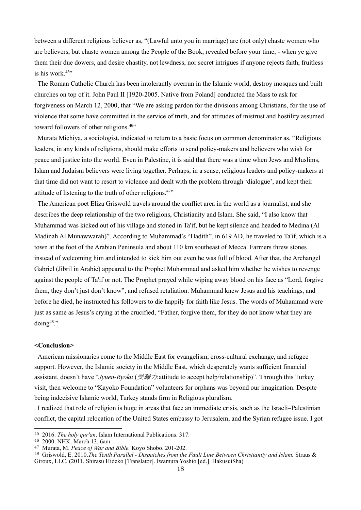between a different religious believer as, "(Lawful unto you in marriage) are (not only) chaste women who are believers, but chaste women among the People of the Book, revealed before your time, - when ye give them their due dowers, and desire chastity, not lewdness, nor secret intrigues if anyone rejects faith, fruitless is his work.<sup>45</sup>"

The Roman Catholic Church has been intolerantly overrun in the Islamic world, destroy mosques and built churches on top of it. John Paul II [1920-2005. Native from Poland] conducted the Mass to ask for forgiveness on March 12, 2000, that "We are asking pardon for the divisions among Christians, for the use of violence that some have committed in the service of truth, and for attitudes of mistrust and hostility assumed toward followers of other religions.<sup>46</sup>"

Murata Michiya, a sociologist, indicated to return to a basic focus on common denominator as, "Religious leaders, in any kinds of religions, should make efforts to send policy-makers and believers who wish for peace and justice into the world. Even in Palestine, it is said that there was a time when Jews and Muslims, Islam and Judaism believers were living together. Perhaps, in a sense, religious leaders and policy-makers at that time did not want to resort to violence and dealt with the problem through 'dialogue', and kept their attitude of listening to the truth of other religions.<sup>47</sup>"

The American poet Eliza Griswold travels around the conflict area in the world as a journalist, and she describes the deep relationship of the two religions, Christianity and Islam. She said, "I also know that Muhammad was kicked out of his village and stoned in Ta'if, but he kept silence and headed to Medina (Al Madinah Al Munawwarah)". According to Muhammad's "Hadith", in 619 AD, he traveled to Ta'if, which is a town at the foot of the Arabian Peninsula and about 110 km southeast of Mecca. Farmers threw stones instead of welcoming him and intended to kick him out even he was full of blood. After that, the Archangel Gabriel (Jibril in Arabic) appeared to the Prophet Muhammad and asked him whether he wishes to revenge against the people of Ta'if or not. The Prophet prayed while wiping away blood on his face as "Lord, forgive them, they don't just don't know", and refused retaliation. Muhammad knew Jesus and his teachings, and before he died, he instructed his followers to die happily for faith like Jesus. The words of Muhammad were just as same as Jesus's crying at the crucified, "Father, forgive them, for they do not know what they are doing<sup>48</sup>."

#### **<Conclusion>**

American missionaries come to the Middle East for evangelism, cross-cultural exchange, and refugee support. However, the Islamic society in the Middle East, which desperately wants sufficient financial assistant, doesn't have "*Jyuen-Ryoku* (受縁力:attitude to accept help/relationship)". Through this Turkey visit, then welcome to "Kayoko Foundation" volunteers for orphans was beyond our imagination. Despite being indecisive Islamic world, Turkey stands firm in Religious pluralism.

I realized that role of religion is huge in areas that face an immediate crisis, such as the Israeli–Palestinian conflict, the capital relocation of the United States embassy to Jerusalem, and the Syrian refugee issue. I got

<sup>46</sup> 2000. NHK. March 13. 6am.

<sup>45</sup> 2016. *The holy qur'an*. Islam International Publications. 317.

<sup>47</sup> Murata, M. *Peace of War and Bible.* Koyo Shobo. 201-202.

<sup>48</sup> Griswold, E. 2010.*The Tenth Parallel - Dispatches from the Fault Line Between Christianity and Islam.* Straus & Giroux, LLC. (2011. Shirasu Hideko [Translator]. Iwamura Yoshio [ed.]. HakusuiSha)